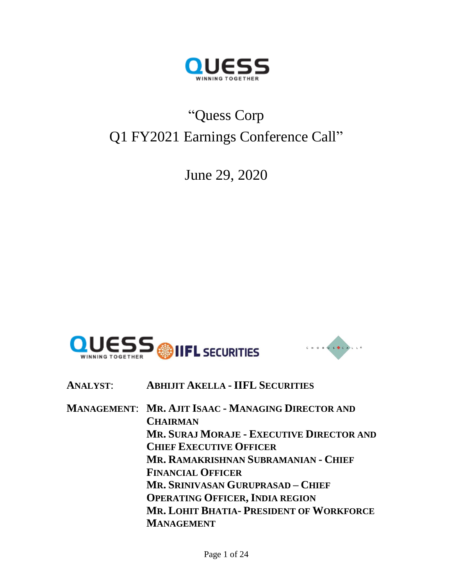

# "Quess Corp Q1 FY2021 Earnings Conference Call"

June 29, 2020





**ANALYST**: **ABHIJIT AKELLA - IIFL SECURITIES**

**MANAGEMENT**: **MR. AJIT ISAAC - MANAGING DIRECTOR AND CHAIRMAN MR. SURAJ MORAJE - EXECUTIVE DIRECTOR AND CHIEF EXECUTIVE OFFICER MR. RAMAKRISHNAN SUBRAMANIAN - CHIEF FINANCIAL OFFICER MR. SRINIVASAN GURUPRASAD – CHIEF OPERATING OFFICER, INDIA REGION MR. LOHIT BHATIA- PRESIDENT OF WORKFORCE MANAGEMENT**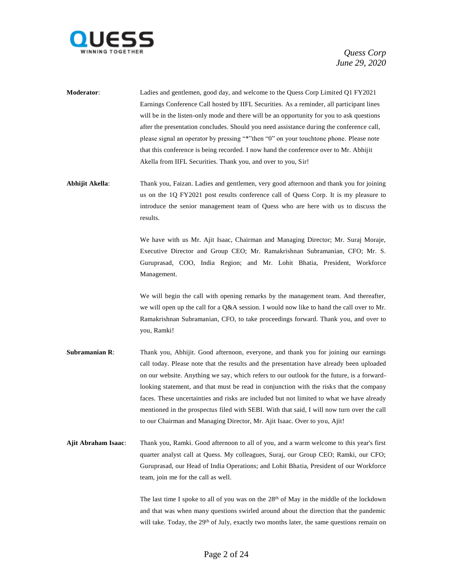

**Moderator**: Ladies and gentlemen, good day, and welcome to the Quess Corp Limited Q1 FY2021 Earnings Conference Call hosted by IIFL Securities. As a reminder, all participant lines will be in the listen-only mode and there will be an opportunity for you to ask questions after the presentation concludes. Should you need assistance during the conference call, please signal an operator by pressing "\*"then "0" on your touchtone phone. Please note that this conference is being recorded. I now hand the conference over to Mr. Abhijit Akella from IIFL Securities. Thank you, and over to you, Sir!

**Abhijit Akella**: Thank you, Faizan. Ladies and gentlemen, very good afternoon and thank you for joining us on the 1Q FY2021 post results conference call of Quess Corp. It is my pleasure to introduce the senior management team of Quess who are here with us to discuss the results.

> We have with us Mr. Ajit Isaac, Chairman and Managing Director; Mr. Suraj Moraje, Executive Director and Group CEO; Mr. Ramakrishnan Subramanian, CFO; Mr. S. Guruprasad, COO, India Region; and Mr. Lohit Bhatia, President, Workforce Management.

> We will begin the call with opening remarks by the management team. And thereafter, we will open up the call for a Q&A session. I would now like to hand the call over to Mr. Ramakrishnan Subramanian, CFO, to take proceedings forward. Thank you, and over to you, Ramki!

- **Subramanian R:** Thank you, Abhijit. Good afternoon, everyone, and thank you for joining our earnings call today. Please note that the results and the presentation have already been uploaded on our website. Anything we say, which refers to our outlook for the future, is a forwardlooking statement, and that must be read in conjunction with the risks that the company faces. These uncertainties and risks are included but not limited to what we have already mentioned in the prospectus filed with SEBI. With that said, I will now turn over the call to our Chairman and Managing Director, Mr. Ajit Isaac. Over to you, Ajit!
- **Ajit Abraham Isaac**: Thank you, Ramki. Good afternoon to all of you, and a warm welcome to this year's first quarter analyst call at Quess. My colleagues, Suraj, our Group CEO; Ramki, our CFO; Guruprasad, our Head of India Operations; and Lohit Bhatia, President of our Workforce team, join me for the call as well.

The last time I spoke to all of you was on the 28<sup>th</sup> of May in the middle of the lockdown and that was when many questions swirled around about the direction that the pandemic will take. Today, the 29<sup>th</sup> of July, exactly two months later, the same questions remain on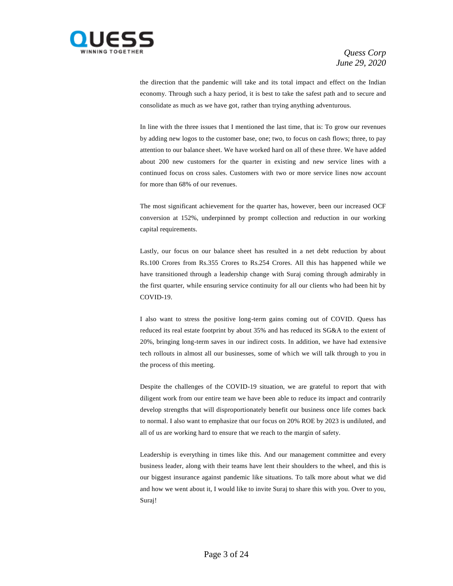

the direction that the pandemic will take and its total impact and effect on the Indian economy. Through such a hazy period, it is best to take the safest path and to secure and consolidate as much as we have got, rather than trying anything adventurous.

In line with the three issues that I mentioned the last time, that is: To grow our revenues by adding new logos to the customer base, one; two, to focus on cash flows; three, to pay attention to our balance sheet. We have worked hard on all of these three. We have added about 200 new customers for the quarter in existing and new service lines with a continued focus on cross sales. Customers with two or more service lines now account for more than 68% of our revenues.

The most significant achievement for the quarter has, however, been our increased OCF conversion at 152%, underpinned by prompt collection and reduction in our working capital requirements.

Lastly, our focus on our balance sheet has resulted in a net debt reduction by about Rs.100 Crores from Rs.355 Crores to Rs.254 Crores. All this has happened while we have transitioned through a leadership change with Suraj coming through admirably in the first quarter, while ensuring service continuity for all our clients who had been hit by COVID-19.

I also want to stress the positive long-term gains coming out of COVID. Quess has reduced its real estate footprint by about 35% and has reduced its SG&A to the extent of 20%, bringing long-term saves in our indirect costs. In addition, we have had extensive tech rollouts in almost all our businesses, some of which we will talk through to you in the process of this meeting.

Despite the challenges of the COVID-19 situation, we are grateful to report that with diligent work from our entire team we have been able to reduce its impact and contrarily develop strengths that will disproportionately benefit our business once life comes back to normal. I also want to emphasize that our focus on 20% ROE by 2023 is undiluted, and all of us are working hard to ensure that we reach to the margin of safety.

Leadership is everything in times like this. And our management committee and every business leader, along with their teams have lent their shoulders to the wheel, and this is our biggest insurance against pandemic like situations. To talk more about what we did and how we went about it, I would like to invite Suraj to share this with you. Over to you, Suraj!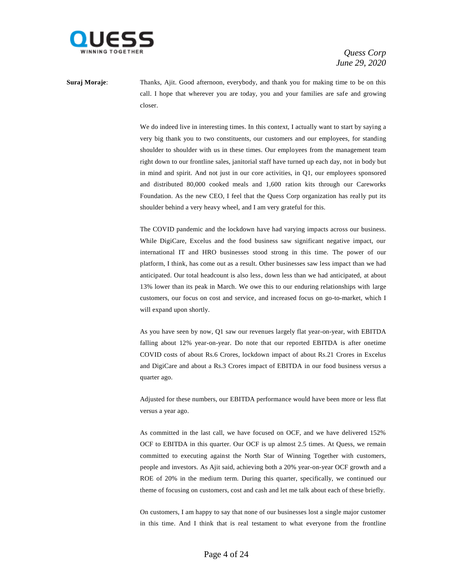

**Suraj Moraje:** Thanks, Ajit. Good afternoon, everybody, and thank you for making time to be on this call. I hope that wherever you are today, you and your families are safe and growing closer.

> We do indeed live in interesting times. In this context, I actually want to start by saying a very big thank you to two constituents, our customers and our employees, for standing shoulder to shoulder with us in these times. Our employees from the management team right down to our frontline sales, janitorial staff have turned up each day, not in body but in mind and spirit. And not just in our core activities, in Q1, our employees sponsored and distributed 80,000 cooked meals and 1,600 ration kits through our Careworks Foundation. As the new CEO, I feel that the Quess Corp organization has really put its shoulder behind a very heavy wheel, and I am very grateful for this.

> The COVID pandemic and the lockdown have had varying impacts across our business. While DigiCare, Excelus and the food business saw significant negative impact, our international IT and HRO businesses stood strong in this time. The power of our platform, I think, has come out as a result. Other businesses saw less impact than we had anticipated. Our total headcount is also less, down less than we had anticipated, at about 13% lower than its peak in March. We owe this to our enduring relationships with large customers, our focus on cost and service, and increased focus on go-to-market, which I will expand upon shortly.

> As you have seen by now, Q1 saw our revenues largely flat year-on-year, with EBITDA falling about 12% year-on-year. Do note that our reported EBITDA is after onetime COVID costs of about Rs.6 Crores, lockdown impact of about Rs.21 Crores in Excelus and DigiCare and about a Rs.3 Crores impact of EBITDA in our food business versus a quarter ago.

> Adjusted for these numbers, our EBITDA performance would have been more or less flat versus a year ago.

> As committed in the last call, we have focused on OCF, and we have delivered 152% OCF to EBITDA in this quarter. Our OCF is up almost 2.5 times. At Quess, we remain committed to executing against the North Star of Winning Together with customers, people and investors. As Ajit said, achieving both a 20% year-on-year OCF growth and a ROE of 20% in the medium term. During this quarter, specifically, we continued our theme of focusing on customers, cost and cash and let me talk about each of these briefly.

> On customers, I am happy to say that none of our businesses lost a single major customer in this time. And I think that is real testament to what everyone from the frontline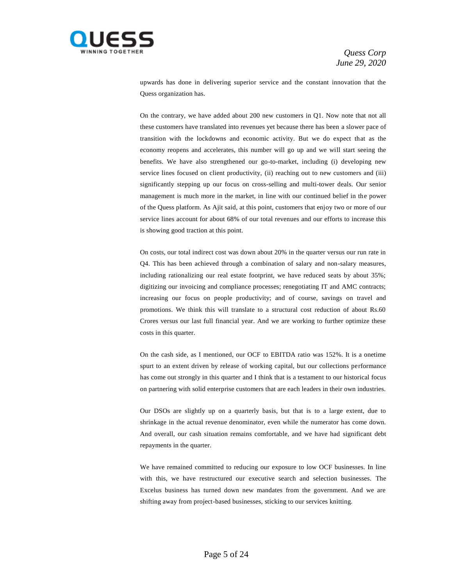

upwards has done in delivering superior service and the constant innovation that the Quess organization has.

On the contrary, we have added about 200 new customers in Q1. Now note that not all these customers have translated into revenues yet because there has been a slower pace of transition with the lockdowns and economic activity. But we do expect that as the economy reopens and accelerates, this number will go up and we will start seeing the benefits. We have also strengthened our go-to-market, including (i) developing new service lines focused on client productivity, (ii) reaching out to new customers and (iii) significantly stepping up our focus on cross-selling and multi-tower deals. Our senior management is much more in the market, in line with our continued belief in the power of the Quess platform. As Ajit said, at this point, customers that enjoy two or more of our service lines account for about 68% of our total revenues and our efforts to increase this is showing good traction at this point.

On costs, our total indirect cost was down about 20% in the quarter versus our run rate in Q4. This has been achieved through a combination of salary and non-salary measures, including rationalizing our real estate footprint, we have reduced seats by about 35%; digitizing our invoicing and compliance processes; renegotiating IT and AMC contracts; increasing our focus on people productivity; and of course, savings on travel and promotions. We think this will translate to a structural cost reduction of about Rs.60 Crores versus our last full financial year. And we are working to further optimize these costs in this quarter.

On the cash side, as I mentioned, our OCF to EBITDA ratio was 152%. It is a onetime spurt to an extent driven by release of working capital, but our collections performance has come out strongly in this quarter and I think that is a testament to our historical focus on partnering with solid enterprise customers that are each leaders in their own industries.

Our DSOs are slightly up on a quarterly basis, but that is to a large extent, due to shrinkage in the actual revenue denominator, even while the numerator has come down. And overall, our cash situation remains comfortable, and we have had significant debt repayments in the quarter.

We have remained committed to reducing our exposure to low OCF businesses. In line with this, we have restructured our executive search and selection businesses. The Excelus business has turned down new mandates from the government. And we are shifting away from project-based businesses, sticking to our services knitting.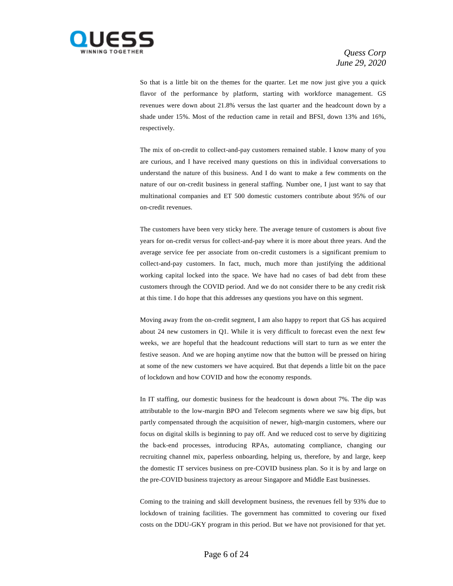

So that is a little bit on the themes for the quarter. Let me now just give you a quick flavor of the performance by platform, starting with workforce management. GS revenues were down about 21.8% versus the last quarter and the headcount down by a shade under 15%. Most of the reduction came in retail and BFSI, down 13% and 16%, respectively.

The mix of on-credit to collect-and-pay customers remained stable. I know many of you are curious, and I have received many questions on this in individual conversations to understand the nature of this business. And I do want to make a few comments on the nature of our on-credit business in general staffing. Number one, I just want to say that multinational companies and ET 500 domestic customers contribute about 95% of our on-credit revenues.

The customers have been very sticky here. The average tenure of customers is about five years for on-credit versus for collect-and-pay where it is more about three years. And the average service fee per associate from on-credit customers is a significant premium to collect-and-pay customers. In fact, much, much more than justifying the additional working capital locked into the space. We have had no cases of bad debt from these customers through the COVID period. And we do not consider there to be any credit risk at this time. I do hope that this addresses any questions you have on this segment.

Moving away from the on-credit segment, I am also happy to report that GS has acquired about 24 new customers in Q1. While it is very difficult to forecast even the next few weeks, we are hopeful that the headcount reductions will start to turn as we enter the festive season. And we are hoping anytime now that the button will be pressed on hiring at some of the new customers we have acquired. But that depends a little bit on the pace of lockdown and how COVID and how the economy responds.

In IT staffing, our domestic business for the headcount is down about 7%. The dip was attributable to the low-margin BPO and Telecom segments where we saw big dips, but partly compensated through the acquisition of newer, high-margin customers, where our focus on digital skills is beginning to pay off. And we reduced cost to serve by digitizing the back-end processes, introducing RPAs, automating compliance, changing our recruiting channel mix, paperless onboarding, helping us, therefore, by and large, keep the domestic IT services business on pre-COVID business plan. So it is by and large on the pre-COVID business trajectory as areour Singapore and Middle East businesses.

Coming to the training and skill development business, the revenues fell by 93% due to lockdown of training facilities. The government has committed to covering our fixed costs on the DDU-GKY program in this period. But we have not provisioned for that yet.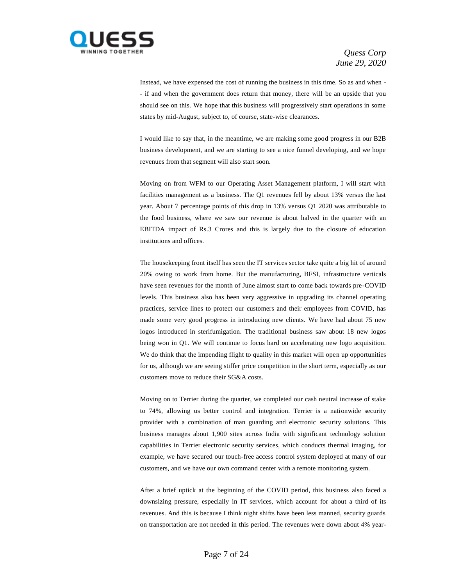

Instead, we have expensed the cost of running the business in this time. So as and when - - if and when the government does return that money, there will be an upside that you should see on this. We hope that this business will progressively start operations in some states by mid-August, subject to, of course, state-wise clearances.

I would like to say that, in the meantime, we are making some good progress in our B2B business development, and we are starting to see a nice funnel developing, and we hope revenues from that segment will also start soon.

Moving on from WFM to our Operating Asset Management platform, I will start with facilities management as a business. The Q1 revenues fell by about 13% versus the last year. About 7 percentage points of this drop in 13% versus Q1 2020 was attributable to the food business, where we saw our revenue is about halved in the quarter with an EBITDA impact of Rs.3 Crores and this is largely due to the closure of education institutions and offices.

The housekeeping front itself has seen the IT services sector take quite a big hit of around 20% owing to work from home. But the manufacturing, BFSI, infrastructure verticals have seen revenues for the month of June almost start to come back towards pre-COVID levels. This business also has been very aggressive in upgrading its channel operating practices, service lines to protect our customers and their employees from COVID, has made some very good progress in introducing new clients. We have had about 75 new logos introduced in sterifumigation. The traditional business saw about 18 new logos being won in Q1. We will continue to focus hard on accelerating new logo acquisition. We do think that the impending flight to quality in this market will open up opportunities for us, although we are seeing stiffer price competition in the short term, especially as our customers move to reduce their SG&A costs.

Moving on to Terrier during the quarter, we completed our cash neutral increase of stake to 74%, allowing us better control and integration. Terrier is a nationwide security provider with a combination of man guarding and electronic security solutions. This business manages about 1,900 sites across India with significant technology solution capabilities in Terrier electronic security services, which conducts thermal imaging, for example, we have secured our touch-free access control system deployed at many of our customers, and we have our own command center with a remote monitoring system.

After a brief uptick at the beginning of the COVID period, this business also faced a downsizing pressure, especially in IT services, which account for about a third of its revenues. And this is because I think night shifts have been less manned, security guards on transportation are not needed in this period. The revenues were down about 4% year-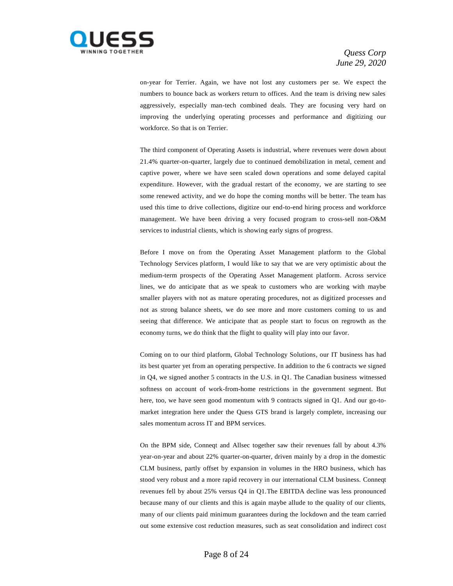

on-year for Terrier. Again, we have not lost any customers per se. We expect the numbers to bounce back as workers return to offices. And the team is driving new sales aggressively, especially man-tech combined deals. They are focusing very hard on improving the underlying operating processes and performance and digitizing our workforce. So that is on Terrier.

The third component of Operating Assets is industrial, where revenues were down about 21.4% quarter-on-quarter, largely due to continued demobilization in metal, cement and captive power, where we have seen scaled down operations and some delayed capital expenditure. However, with the gradual restart of the economy, we are starting to see some renewed activity, and we do hope the coming months will be better. The team has used this time to drive collections, digitize our end-to-end hiring process and workforce management. We have been driving a very focused program to cross-sell non-O&M services to industrial clients, which is showing early signs of progress.

Before I move on from the Operating Asset Management platform to the Global Technology Services platform, I would like to say that we are very optimistic about the medium-term prospects of the Operating Asset Management platform. Across service lines, we do anticipate that as we speak to customers who are working with maybe smaller players with not as mature operating procedures, not as digitized processes and not as strong balance sheets, we do see more and more customers coming to us and seeing that difference. We anticipate that as people start to focus on regrowth as the economy turns, we do think that the flight to quality will play into our favor.

Coming on to our third platform, Global Technology Solutions, our IT business has had its best quarter yet from an operating perspective. In addition to the 6 contracts we signed in Q4, we signed another 5 contracts in the U.S. in Q1. The Canadian business witnessed softness on account of work-from-home restrictions in the government segment. But here, too, we have seen good momentum with 9 contracts signed in Q1. And our go-tomarket integration here under the Quess GTS brand is largely complete, increasing our sales momentum across IT and BPM services.

On the BPM side, Conneqt and Allsec together saw their revenues fall by about 4.3% year-on-year and about 22% quarter-on-quarter, driven mainly by a drop in the domestic CLM business, partly offset by expansion in volumes in the HRO business, which has stood very robust and a more rapid recovery in our international CLM business. Conneqt revenues fell by about 25% versus Q4 in Q1.The EBITDA decline was less pronounced because many of our clients and this is again maybe allude to the quality of our clients, many of our clients paid minimum guarantees during the lockdown and the team carried out some extensive cost reduction measures, such as seat consolidation and indirect cost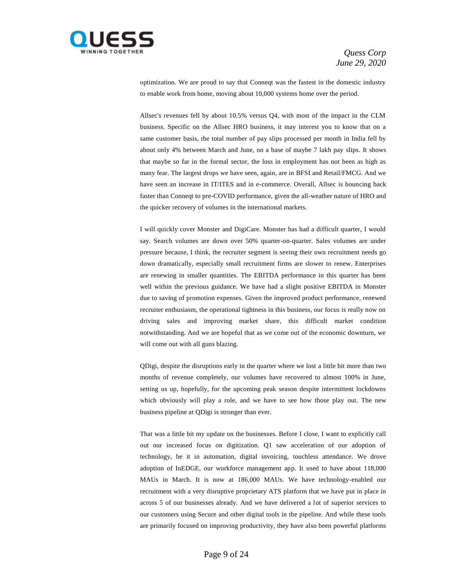

optimization. We are proud to say that Conneqt was the fastest in the domestic industry to enable work from home, moving about 10,000 systems home over the period.

Allsec's revenues fell by about 10.5% versus Q4, with most of the impact in the CLM business. Specific on the Allsec HRO business, it may interest you to know that on a same customer basis, the total number of pay slips processed per month in India fell by about only 4% between March and June, on a base of maybe 7 lakh pay slips. It shows that maybe so far in the formal sector, the loss in employment has not been as high as many fear. The largest drops we have seen, again, are in BFSI and Retail/FMCG. And we have seen an increase in IT/ITES and in e-commerce. Overall, Allsec is bouncing back faster than Conneqt to pre-COVID performance, given the all-weather nature of HRO and the quicker recovery of volumes in the international markets.

I will quickly cover Monster and DigiCare. Monster has had a difficult quarter, I would say. Search volumes are down over 50% quarter-on-quarter. Sales volumes are under pressure because, I think, the recruiter segment is seeing their own recruitment needs go down dramatically, especially small recruitment firms are slower to renew. Enterprises are renewing in smaller quantities. The EBITDA performance in this quarter has been well within the previous guidance. We have had a slight positive EBITDA in Monster due to saving of promotion expenses. Given the improved product performance, renewed recruiter enthusiasm, the operational tightness in this business, our focus is really now on driving sales and improving market share, this difficult market condition notwithstanding. And we are hopeful that as we come out of the economic downturn, we will come out with all guns blazing.

QDigi, despite the disruptions early in the quarter where we lost a little bit more than two months of revenue completely, our volumes have recovered to almost 100% in June, setting us up, hopefully, for the upcoming peak season despite intermittent lockdowns which obviously will play a role, and we have to see how those play out. The new business pipeline at QDigi is stronger than ever.

That was a little bit my update on the businesses. Before I close, I want to explicitly call out our increased focus on digitization. Q1 saw acceleration of our adoption of technology, be it in automation, digital invoicing, touchless attendance. We drove adoption of InEDGE, our workforce management app. It used to have about 118,000 MAUs in March. It is now at 186,000 MAUs. We have technology-enabled our recruitment with a very disruptive proprietary ATS platform that we have put in place in across 5 of our businesses already. And we have delivered a lot of superior services to our customers using Secure and other digital tools in the pipeline. And while these tools are primarily focused on improving productivity, they have also been powerful platforms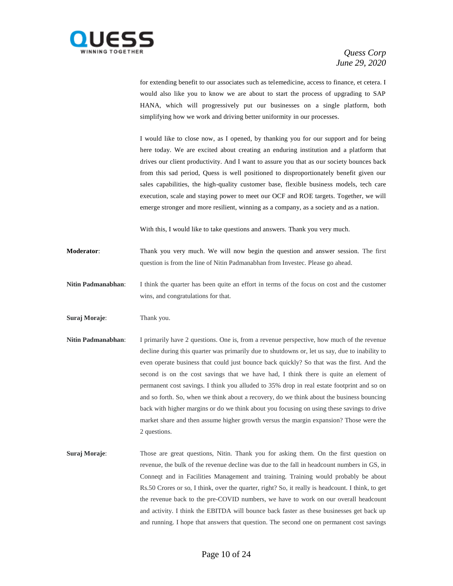

for extending benefit to our associates such as telemedicine, access to finance, et cetera. I would also like you to know we are about to start the process of upgrading to SAP HANA, which will progressively put our businesses on a single platform, both simplifying how we work and driving better uniformity in our processes.

I would like to close now, as I opened, by thanking you for our support and for being here today. We are excited about creating an enduring institution and a platform that drives our client productivity. And I want to assure you that as our society bounces back from this sad period, Quess is well positioned to disproportionately benefit given our sales capabilities, the high-quality customer base, flexible business models, tech care execution, scale and staying power to meet our OCF and ROE targets. Together, we will emerge stronger and more resilient, winning as a company, as a society and as a nation.

With this, I would like to take questions and answers. Thank you very much.

**Moderator:** Thank you very much. We will now begin the question and answer session. The first question is from the line of Nitin Padmanabhan from Investec. Please go ahead.

**Nitin Padmanabhan**: I think the quarter has been quite an effort in terms of the focus on cost and the customer wins, and congratulations for that.

**Suraj Moraje**: Thank you.

- **Nitin Padmanabhan:** I primarily have 2 questions. One is, from a revenue perspective, how much of the revenue decline during this quarter was primarily due to shutdowns or, let us say, due to inability to even operate business that could just bounce back quickly? So that was the first. And the second is on the cost savings that we have had, I think there is quite an element of permanent cost savings. I think you alluded to 35% drop in real estate footprint and so on and so forth. So, when we think about a recovery, do we think about the business bouncing back with higher margins or do we think about you focusing on using these savings to drive market share and then assume higher growth versus the margin expansion? Those were the 2 questions.
- **Suraj Moraje:** Those are great questions, Nitin. Thank you for asking them. On the first question on revenue, the bulk of the revenue decline was due to the fall in headcount numbers in GS, in Conneqt and in Facilities Management and training. Training would probably be about Rs.50 Crores or so, I think, over the quarter, right? So, it really is headcount. I think, to get the revenue back to the pre-COVID numbers, we have to work on our overall headcount and activity. I think the EBITDA will bounce back faster as these businesses get back up and running. I hope that answers that question. The second one on permanent cost savings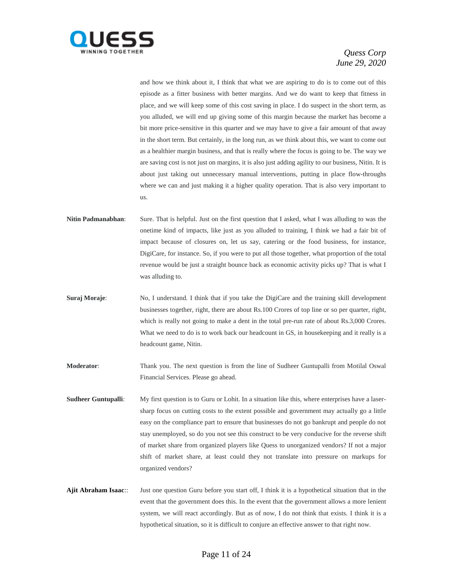

and how we think about it, I think that what we are aspiring to do is to come out of this episode as a fitter business with better margins. And we do want to keep that fitness in place, and we will keep some of this cost saving in place. I do suspect in the short term, as you alluded, we will end up giving some of this margin because the market has become a bit more price-sensitive in this quarter and we may have to give a fair amount of that away in the short term. But certainly, in the long run, as we think about this, we want to come out as a healthier margin business, and that is really where the focus is going to be. The way we are saving cost is not just on margins, it is also just adding agility to our business, Nitin. It is about just taking out unnecessary manual interventions, putting in place flow-throughs where we can and just making it a higher quality operation. That is also very important to us.

- **Nitin Padmanabhan**: Sure. That is helpful. Just on the first question that I asked, what I was alluding to was the onetime kind of impacts, like just as you alluded to training, I think we had a fair bit of impact because of closures on, let us say, catering or the food business, for instance, DigiCare, for instance. So, if you were to put all those together, what proportion of the total revenue would be just a straight bounce back as economic activity picks up? That is what I was alluding to.
- **Suraj Moraje:** No, I understand. I think that if you take the DigiCare and the training skill development businesses together, right, there are about Rs.100 Crores of top line or so per quarter, right, which is really not going to make a dent in the total pre-run rate of about Rs.3,000 Crores. What we need to do is to work back our headcount in GS, in housekeeping and it really is a headcount game, Nitin.
- **Moderator**: Thank you. The next question is from the line of Sudheer Guntupalli from Motilal Oswal Financial Services. Please go ahead.
- **Sudheer Guntupalli:** My first question is to Guru or Lohit. In a situation like this, where enterprises have a lasersharp focus on cutting costs to the extent possible and government may actually go a little easy on the compliance part to ensure that businesses do not go bankrupt and people do not stay unemployed, so do you not see this construct to be very conducive for the reverse shift of market share from organized players like Quess to unorganized vendors? If not a major shift of market share, at least could they not translate into pressure on markups for organized vendors?
- **Ajit Abraham Isaac**:: Just one question Guru before you start off, I think it is a hypothetical situation that in the event that the government does this. In the event that the government allows a more lenient system, we will react accordingly. But as of now, I do not think that exists. I think it is a hypothetical situation, so it is difficult to conjure an effective answer to that right now.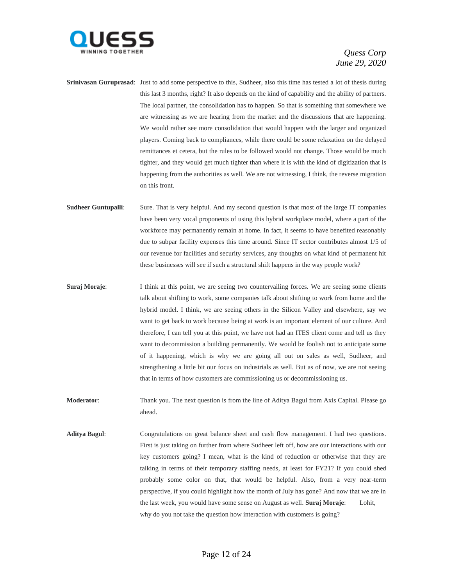

- **Srinivasan Guruprasad**: Just to add some perspective to this, Sudheer, also this time has tested a lot of thesis during this last 3 months, right? It also depends on the kind of capability and the ability of partners. The local partner, the consolidation has to happen. So that is something that somewhere we are witnessing as we are hearing from the market and the discussions that are happening. We would rather see more consolidation that would happen with the larger and organized players. Coming back to compliances, while there could be some relaxation on the delayed remittances et cetera, but the rules to be followed would not change. Those would be much tighter, and they would get much tighter than where it is with the kind of digitization that is happening from the authorities as well. We are not witnessing, I think, the reverse migration on this front.
- **Sudheer Guntupalli**: Sure. That is very helpful. And my second question is that most of the large IT companies have been very vocal proponents of using this hybrid workplace model, where a part of the workforce may permanently remain at home. In fact, it seems to have benefited reasonably due to subpar facility expenses this time around. Since IT sector contributes almost 1/5 of our revenue for facilities and security services, any thoughts on what kind of permanent hit these businesses will see if such a structural shift happens in the way people work?
- **Suraj Moraje:** I think at this point, we are seeing two countervailing forces. We are seeing some clients talk about shifting to work, some companies talk about shifting to work from home and the hybrid model. I think, we are seeing others in the Silicon Valley and elsewhere, say we want to get back to work because being at work is an important element of our culture. And therefore, I can tell you at this point, we have not had an ITES client come and tell us they want to decommission a building permanently. We would be foolish not to anticipate some of it happening, which is why we are going all out on sales as well, Sudheer, and strengthening a little bit our focus on industrials as well. But as of now, we are not seeing that in terms of how customers are commissioning us or decommissioning us.
- **Moderator:** Thank you. The next question is from the line of Aditya Bagul from Axis Capital. Please go ahead.
- **Aditya Bagul**: Congratulations on great balance sheet and cash flow management. I had two questions. First is just taking on further from where Sudheer left off, how are our interactions with our key customers going? I mean, what is the kind of reduction or otherwise that they are talking in terms of their temporary staffing needs, at least for FY21? If you could shed probably some color on that, that would be helpful. Also, from a very near-term perspective, if you could highlight how the month of July has gone? And now that we are in the last week, you would have some sense on August as well. **Suraj Moraje**: Lohit, why do you not take the question how interaction with customers is going?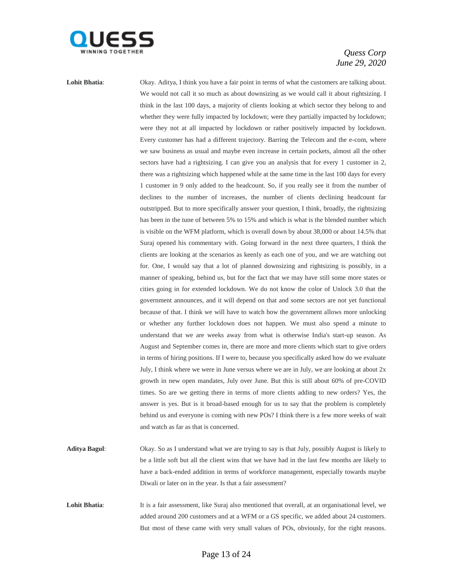

Lohit Bhatia: Okay. Aditya, I think you have a fair point in terms of what the customers are talking about. We would not call it so much as about downsizing as we would call it about rightsizing. I think in the last 100 days, a majority of clients looking at which sector they belong to and whether they were fully impacted by lockdown; were they partially impacted by lockdown; were they not at all impacted by lockdown or rather positively impacted by lockdown. Every customer has had a different trajectory. Barring the Telecom and the e-com, where we saw business as usual and maybe even increase in certain pockets, almost all the other sectors have had a rightsizing. I can give you an analysis that for every 1 customer in 2, there was a rightsizing which happened while at the same time in the last 100 days for every 1 customer in 9 only added to the headcount. So, if you really see it from the number of declines to the number of increases, the number of clients declining headcount far outstripped. But to more specifically answer your question, I think, broadly, the rightsizing has been in the tune of between 5% to 15% and which is what is the blended number which is visible on the WFM platform, which is overall down by about 38,000 or about 14.5% that Suraj opened his commentary with. Going forward in the next three quarters, I think the clients are looking at the scenarios as keenly as each one of you, and we are watching out for. One, I would say that a lot of planned downsizing and rightsizing is possibly, in a manner of speaking, behind us, but for the fact that we may have still some more states or cities going in for extended lockdown. We do not know the color of Unlock 3.0 that the government announces, and it will depend on that and some sectors are not yet functional because of that. I think we will have to watch how the government allows more unlocking or whether any further lockdown does not happen. We must also spend a minute to understand that we are weeks away from what is otherwise India's start-up season. As August and September comes in, there are more and more clients which start to give orders in terms of hiring positions. If I were to, because you specifically asked how do we evaluate July, I think where we were in June versus where we are in July, we are looking at about 2x growth in new open mandates, July over June. But this is still about 60% of pre-COVID times. So are we getting there in terms of more clients adding to new orders? Yes, the answer is yes. But is it broad-based enough for us to say that the problem is completely behind us and everyone is coming with new POs? I think there is a few more weeks of wait and watch as far as that is concerned.

- **Aditya Bagul**: Okay. So as I understand what we are trying to say is that July, possibly August is likely to be a little soft but all the client wins that we have had in the last few months are likely to have a back-ended addition in terms of workforce management, especially towards maybe Diwali or later on in the year. Is that a fair assessment?
- Lohit Bhatia: It is a fair assessment, like Suraj also mentioned that overall, at an organisational level, we added around 200 customers and at a WFM or a GS specific, we added about 24 customers. But most of these came with very small values of POs, obviously, for the right reasons.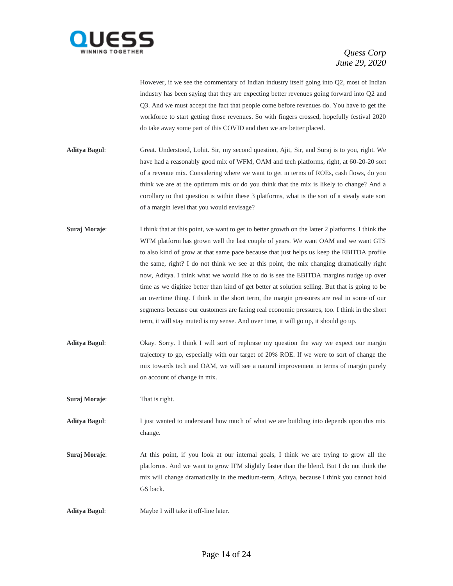

However, if we see the commentary of Indian industry itself going into Q2, most of Indian industry has been saying that they are expecting better revenues going forward into Q2 and Q3. And we must accept the fact that people come before revenues do. You have to get the workforce to start getting those revenues. So with fingers crossed, hopefully festival 2020 do take away some part of this COVID and then we are better placed.

- **Aditya Bagul**: Great. Understood, Lohit. Sir, my second question, Ajit, Sir, and Suraj is to you, right. We have had a reasonably good mix of WFM, OAM and tech platforms, right, at 60-20-20 sort of a revenue mix. Considering where we want to get in terms of ROEs, cash flows, do you think we are at the optimum mix or do you think that the mix is likely to change? And a corollary to that question is within these 3 platforms, what is the sort of a steady state sort of a margin level that you would envisage?
- **Suraj Moraje:** I think that at this point, we want to get to better growth on the latter 2 platforms. I think the WFM platform has grown well the last couple of years. We want OAM and we want GTS to also kind of grow at that same pace because that just helps us keep the EBITDA profile the same, right? I do not think we see at this point, the mix changing dramatically right now, Aditya. I think what we would like to do is see the EBITDA margins nudge up over time as we digitize better than kind of get better at solution selling. But that is going to be an overtime thing. I think in the short term, the margin pressures are real in some of our segments because our customers are facing real economic pressures, too. I think in the short term, it will stay muted is my sense. And over time, it will go up, it should go up.
- **Aditya Bagul**: Okay. Sorry. I think I will sort of rephrase my question the way we expect our margin trajectory to go, especially with our target of 20% ROE. If we were to sort of change the mix towards tech and OAM, we will see a natural improvement in terms of margin purely on account of change in mix.

**Suraj Moraje**: That is right.

**Aditya Bagul**: I just wanted to understand how much of what we are building into depends upon this mix change.

**Suraj Moraje:** At this point, if you look at our internal goals, I think we are trying to grow all the platforms. And we want to grow IFM slightly faster than the blend. But I do not think the mix will change dramatically in the medium-term, Aditya, because I think you cannot hold GS back.

**Aditya Bagul**: Maybe I will take it off-line later.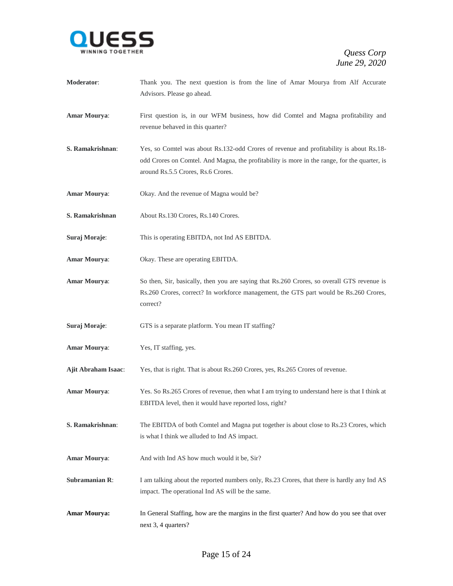

- **Moderator**: Thank you. The next question is from the line of Amar Mourya from Alf Accurate Advisors. Please go ahead.
- **Amar Mourya**: First question is, in our WFM business, how did Comtel and Magna profitability and revenue behaved in this quarter?
- **S. Ramakrishnan**: Yes, so Comtel was about Rs.132-odd Crores of revenue and profitability is about Rs.18 odd Crores on Comtel. And Magna, the profitability is more in the range, for the quarter, is around Rs.5.5 Crores, Rs.6 Crores.
- **Amar Mourya**: Okay. And the revenue of Magna would be?
- **S. Ramakrishnan** About Rs.130 Crores, Rs.140 Crores.
- **Suraj Moraje**: This is operating EBITDA, not Ind AS EBITDA.
- **Amar Mourya**: Okay. These are operating EBITDA.
- **Amar Mourya**: So then, Sir, basically, then you are saying that Rs.260 Crores, so overall GTS revenue is Rs.260 Crores, correct? In workforce management, the GTS part would be Rs.260 Crores, correct?
- **Suraj Moraje:** GTS is a separate platform. You mean IT staffing?
- **Amar Mourya**: Yes, IT staffing, yes.
- **Ajit Abraham Isaac**: Yes, that is right. That is about Rs.260 Crores, yes, Rs.265 Crores of revenue.
- **Amar Mourya**: Yes. So Rs.265 Crores of revenue, then what I am trying to understand here is that I think at EBITDA level, then it would have reported loss, right?
- **S. Ramakrishnan**: The EBITDA of both Comtel and Magna put together is about close to Rs.23 Crores, which is what I think we alluded to Ind AS impact.
- Amar Mourya: And with Ind AS how much would it be, Sir?
- **Subramanian R:** I am talking about the reported numbers only, Rs.23 Crores, that there is hardly any Ind AS impact. The operational Ind AS will be the same.
- **Amar Mourya:** In General Staffing, how are the margins in the first quarter? And how do you see that over next 3, 4 quarters?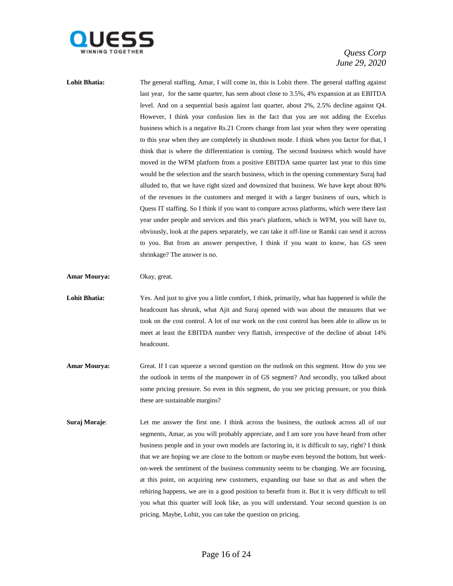

Lohit Bhatia: The general staffing, Amar, I will come in, this is Lohit there. The general staffing against last year, for the same quarter, has seen about close to 3.5%, 4% expansion at an EBITDA level. And on a sequential basis against last quarter, about 2%, 2.5% decline against Q4. However, I think your confusion lies in the fact that you are not adding the Excelus business which is a negative Rs.21 Crores change from last year when they were operating to this year when they are completely in shutdown mode. I think when you factor for that, I think that is where the differentiation is coming. The second business which would have moved in the WFM platform from a positive EBITDA same quarter last year to this time would be the selection and the search business, which in the opening commentary Suraj had alluded to, that we have right sized and downsized that business. We have kept about 80% of the revenues in the customers and merged it with a larger business of ours, which is Quess IT staffing. So I think if you want to compare across platforms, which were there last year under people and services and this year's platform, which is WFM, you will have to, obviously, look at the papers separately, we can take it off-line or Ramki can send it across to you. But from an answer perspective, I think if you want to know, has GS seen shrinkage? The answer is no.

**Amar Mourya:** Okay, great.

- Lohit Bhatia: Yes. And just to give you a little comfort, I think, primarily, what has happened is while the headcount has shrunk, what Ajit and Suraj opened with was about the measures that we took on the cost control. A lot of our work on the cost control has been able to allow us to meet at least the EBITDA number very flattish, irrespective of the decline of about 14% headcount.
- **Amar Mourya:** Great. If I can squeeze a second question on the outlook on this segment. How do you see the outlook in terms of the manpower in of GS segment? And secondly, you talked about some pricing pressure. So even in this segment, do you see pricing pressure, or you think these are sustainable margins?
- **Suraj Moraje:** Let me answer the first one. I think across the business, the outlook across all of our segments, Amar, as you will probably appreciate, and I am sure you have heard from other business people and in your own models are factoring in, it is difficult to say, right? I think that we are hoping we are close to the bottom or maybe even beyond the bottom, but weekon-week the sentiment of the business community seems to be changing. We are focusing, at this point, on acquiring new customers, expanding our base so that as and when the rehiring happens, we are in a good position to benefit from it. But it is very difficult to tell you what this quarter will look like, as you will understand. Your second question is on pricing. Maybe, Lohit, you can take the question on pricing.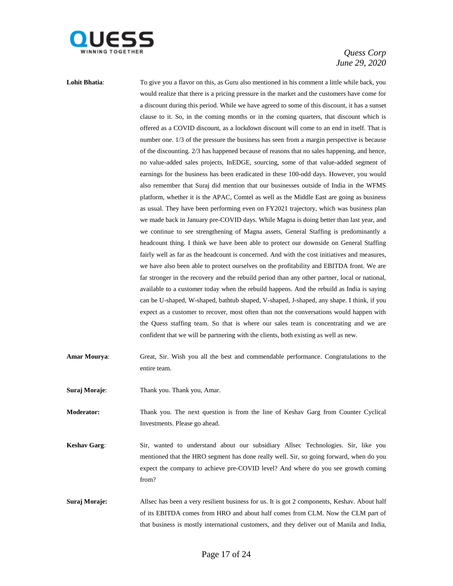

Lohit Bhatia: To give you a flavor on this, as Guru also mentioned in his comment a little while back, you would realize that there is a pricing pressure in the market and the customers have come for a discount during this period. While we have agreed to some of this discount, it has a sunset clause to it. So, in the coming months or in the coming quarters, that discount which is offered as a COVID discount, as a lockdown discount will come to an end in itself. That is number one. 1/3 of the pressure the business has seen from a margin perspective is because of the discounting. 2/3 has happened because of reasons that no sales happening, and hence, no value-added sales projects, InEDGE, sourcing, some of that value-added segment of earnings for the business has been eradicated in these 100-odd days. However, you would also remember that Suraj did mention that our businesses outside of India in the WFMS platform, whether it is the APAC, Comtel as well as the Middle East are going as business as usual. They have been performing even on FY2021 trajectory, which was business plan we made back in January pre-COVID days. While Magna is doing better than last year, and we continue to see strengthening of Magna assets, General Staffing is predominantly a headcount thing. I think we have been able to protect our downside on General Staffing fairly well as far as the headcount is concerned. And with the cost initiatives and measures, we have also been able to protect ourselves on the profitability and EBITDA front. We are far stronger in the recovery and the rebuild period than any other partner, local or national, available to a customer today when the rebuild happens. And the rebuild as India is saying can be U-shaped, W-shaped, bathtub shaped, V-shaped, J-shaped, any shape. I think, if you expect as a customer to recover, most often than not the conversations would happen with the Quess staffing team. So that is where our sales team is concentrating and we are confident that we will be partnering with the clients, both existing as well as new.

**Amar Mourya**: Great, Sir. Wish you all the best and commendable performance. Congratulations to the entire team.

**Suraj Moraje**: Thank you. Thank you, Amar.

**Moderator:** Thank you. The next question is from the line of Keshav Garg from Counter Cyclical Investments. Please go ahead.

**Keshav Garg**: Sir, wanted to understand about our subsidiary Allsec Technologies. Sir, like you mentioned that the HRO segment has done really well. Sir, so going forward, when do you expect the company to achieve pre-COVID level? And where do you see growth coming from?

**Suraj Moraje:** Allsec has been a very resilient business for us. It is got 2 components, Keshav. About half of its EBITDA comes from HRO and about half comes from CLM. Now the CLM part of that business is mostly international customers, and they deliver out of Manila and India,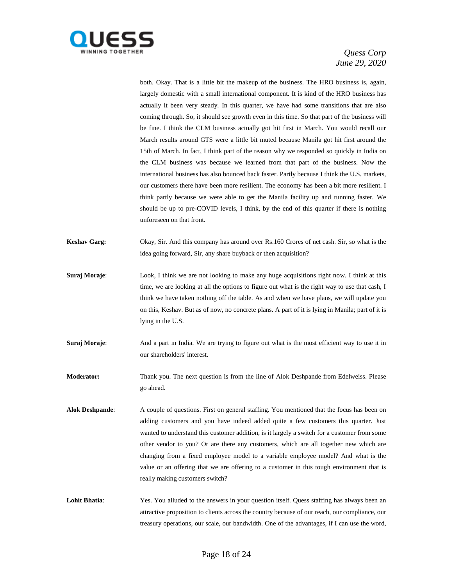

both. Okay. That is a little bit the makeup of the business. The HRO business is, again, largely domestic with a small international component. It is kind of the HRO business has actually it been very steady. In this quarter, we have had some transitions that are also coming through. So, it should see growth even in this time. So that part of the business will be fine. I think the CLM business actually got hit first in March. You would recall our March results around GTS were a little bit muted because Manila got hit first around the 15th of March. In fact, I think part of the reason why we responded so quickly in India on the CLM business was because we learned from that part of the business. Now the international business has also bounced back faster. Partly because I think the U.S. markets, our customers there have been more resilient. The economy has been a bit more resilient. I think partly because we were able to get the Manila facility up and running faster. We should be up to pre-COVID levels, I think, by the end of this quarter if there is nothing unforeseen on that front.

**Keshav Garg:** Okay, Sir. And this company has around over Rs.160 Crores of net cash. Sir, so what is the idea going forward, Sir, any share buyback or then acquisition?

**Suraj Moraje:** Look, I think we are not looking to make any huge acquisitions right now. I think at this time, we are looking at all the options to figure out what is the right way to use that cash, I think we have taken nothing off the table. As and when we have plans, we will update you on this, Keshav. But as of now, no concrete plans. A part of it is lying in Manila; part of it is lying in the U.S.

**Suraj Moraje:** And a part in India. We are trying to figure out what is the most efficient way to use it in our shareholders' interest.

**Moderator:** Thank you. The next question is from the line of Alok Deshpande from Edelweiss. Please go ahead.

- **Alok Deshpande**: A couple of questions. First on general staffing. You mentioned that the focus has been on adding customers and you have indeed added quite a few customers this quarter. Just wanted to understand this customer addition, is it largely a switch for a customer from some other vendor to you? Or are there any customers, which are all together new which are changing from a fixed employee model to a variable employee model? And what is the value or an offering that we are offering to a customer in this tough environment that is really making customers switch?
- Lohit Bhatia: Yes. You alluded to the answers in your question itself. Quess staffing has always been an attractive proposition to clients across the country because of our reach, our compliance, our treasury operations, our scale, our bandwidth. One of the advantages, if I can use the word,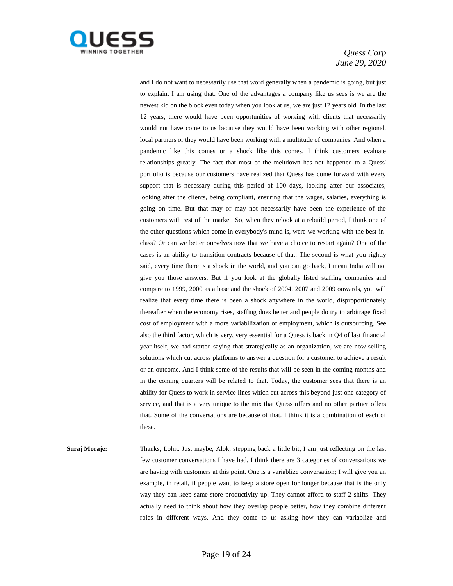

and I do not want to necessarily use that word generally when a pandemic is going, but just to explain, I am using that. One of the advantages a company like us sees is we are the newest kid on the block even today when you look at us, we are just 12 years old. In the last 12 years, there would have been opportunities of working with clients that necessarily would not have come to us because they would have been working with other regional, local partners or they would have been working with a multitude of companies. And when a pandemic like this comes or a shock like this comes, I think customers evaluate relationships greatly. The fact that most of the meltdown has not happened to a Quess' portfolio is because our customers have realized that Quess has come forward with every support that is necessary during this period of 100 days, looking after our associates, looking after the clients, being compliant, ensuring that the wages, salaries, everything is going on time. But that may or may not necessarily have been the experience of the customers with rest of the market. So, when they relook at a rebuild period, I think one of the other questions which come in everybody's mind is, were we working with the best-inclass? Or can we better ourselves now that we have a choice to restart again? One of the cases is an ability to transition contracts because of that. The second is what you rightly said, every time there is a shock in the world, and you can go back, I mean India will not give you those answers. But if you look at the globally listed staffing companies and compare to 1999, 2000 as a base and the shock of 2004, 2007 and 2009 onwards, you will realize that every time there is been a shock anywhere in the world, disproportionately thereafter when the economy rises, staffing does better and people do try to arbitrage fixed cost of employment with a more variabilization of employment, which is outsourcing. See also the third factor, which is very, very essential for a Quess is back in Q4 of last financial year itself, we had started saying that strategically as an organization, we are now selling solutions which cut across platforms to answer a question for a customer to achieve a result or an outcome. And I think some of the results that will be seen in the coming months and in the coming quarters will be related to that. Today, the customer sees that there is an ability for Quess to work in service lines which cut across this beyond just one category of service, and that is a very unique to the mix that Quess offers and no other partner offers that. Some of the conversations are because of that. I think it is a combination of each of these.

**Suraj Moraje:** Thanks, Lohit. Just maybe, Alok, stepping back a little bit, I am just reflecting on the last few customer conversations I have had. I think there are 3 categories of conversations we are having with customers at this point. One is a variablize conversation; I will give you an example, in retail, if people want to keep a store open for longer because that is the only way they can keep same-store productivity up. They cannot afford to staff 2 shifts. They actually need to think about how they overlap people better, how they combine different roles in different ways. And they come to us asking how they can variablize and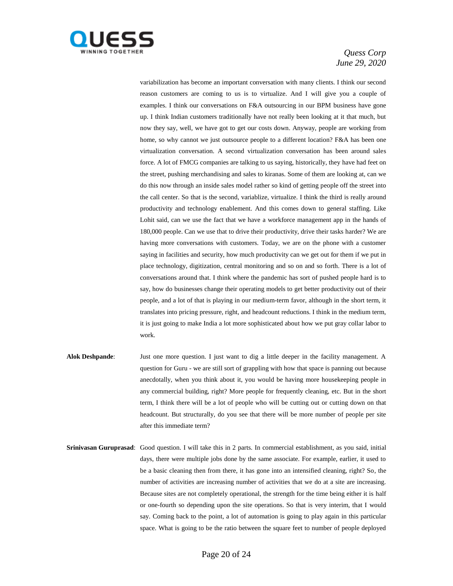

variabilization has become an important conversation with many clients. I think our second reason customers are coming to us is to virtualize. And I will give you a couple of examples. I think our conversations on F&A outsourcing in our BPM business have gone up. I think Indian customers traditionally have not really been looking at it that much, but now they say, well, we have got to get our costs down. Anyway, people are working from home, so why cannot we just outsource people to a different location? F&A has been one virtualization conversation. A second virtualization conversation has been around sales force. A lot of FMCG companies are talking to us saying, historically, they have had feet on the street, pushing merchandising and sales to kiranas. Some of them are looking at, can we do this now through an inside sales model rather so kind of getting people off the street into the call center. So that is the second, variablize, virtualize. I think the third is really around productivity and technology enablement. And this comes down to general staffing. Like Lohit said, can we use the fact that we have a workforce management app in the hands of 180,000 people. Can we use that to drive their productivity, drive their tasks harder? We are having more conversations with customers. Today, we are on the phone with a customer saying in facilities and security, how much productivity can we get out for them if we put in place technology, digitization, central monitoring and so on and so forth. There is a lot of conversations around that. I think where the pandemic has sort of pushed people hard is to say, how do businesses change their operating models to get better productivity out of their people, and a lot of that is playing in our medium-term favor, although in the short term, it translates into pricing pressure, right, and headcount reductions. I think in the medium term, it is just going to make India a lot more sophisticated about how we put gray collar labor to work.

- **Alok Deshpande**: Just one more question. I just want to dig a little deeper in the facility management. A question for Guru - we are still sort of grappling with how that space is panning out because anecdotally, when you think about it, you would be having more housekeeping people in any commercial building, right? More people for frequently cleaning, etc. But in the short term, I think there will be a lot of people who will be cutting out or cutting down on that headcount. But structurally, do you see that there will be more number of people per site after this immediate term?
- **Srinivasan Guruprasad**: Good question. I will take this in 2 parts. In commercial establishment, as you said, initial days, there were multiple jobs done by the same associate. For example, earlier, it used to be a basic cleaning then from there, it has gone into an intensified cleaning, right? So, the number of activities are increasing number of activities that we do at a site are increasing. Because sites are not completely operational, the strength for the time being either it is half or one-fourth so depending upon the site operations. So that is very interim, that I would say. Coming back to the point, a lot of automation is going to play again in this particular space. What is going to be the ratio between the square feet to number of people deployed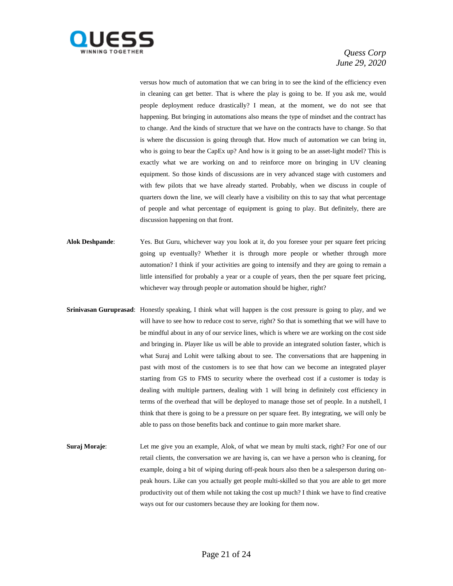

versus how much of automation that we can bring in to see the kind of the efficiency even in cleaning can get better. That is where the play is going to be. If you ask me, would people deployment reduce drastically? I mean, at the moment, we do not see that happening. But bringing in automations also means the type of mindset and the contract has to change. And the kinds of structure that we have on the contracts have to change. So that is where the discussion is going through that. How much of automation we can bring in, who is going to bear the CapEx up? And how is it going to be an asset-light model? This is exactly what we are working on and to reinforce more on bringing in UV cleaning equipment. So those kinds of discussions are in very advanced stage with customers and with few pilots that we have already started. Probably, when we discuss in couple of quarters down the line, we will clearly have a visibility on this to say that what percentage of people and what percentage of equipment is going to play. But definitely, there are discussion happening on that front.

- **Alok Deshpande**: Yes. But Guru, whichever way you look at it, do you foresee your per square feet pricing going up eventually? Whether it is through more people or whether through more automation? I think if your activities are going to intensify and they are going to remain a little intensified for probably a year or a couple of years, then the per square feet pricing, whichever way through people or automation should be higher, right?
- **Srinivasan Guruprasad**: Honestly speaking, I think what will happen is the cost pressure is going to play, and we will have to see how to reduce cost to serve, right? So that is something that we will have to be mindful about in any of our service lines, which is where we are working on the cost side and bringing in. Player like us will be able to provide an integrated solution faster, which is what Suraj and Lohit were talking about to see. The conversations that are happening in past with most of the customers is to see that how can we become an integrated player starting from GS to FMS to security where the overhead cost if a customer is today is dealing with multiple partners, dealing with 1 will bring in definitely cost efficiency in terms of the overhead that will be deployed to manage those set of people. In a nutshell, I think that there is going to be a pressure on per square feet. By integrating, we will only be able to pass on those benefits back and continue to gain more market share.
- **Suraj Moraje:** Let me give you an example, Alok, of what we mean by multi stack, right? For one of our retail clients, the conversation we are having is, can we have a person who is cleaning, for example, doing a bit of wiping during off-peak hours also then be a salesperson during onpeak hours. Like can you actually get people multi-skilled so that you are able to get more productivity out of them while not taking the cost up much? I think we have to find creative ways out for our customers because they are looking for them now.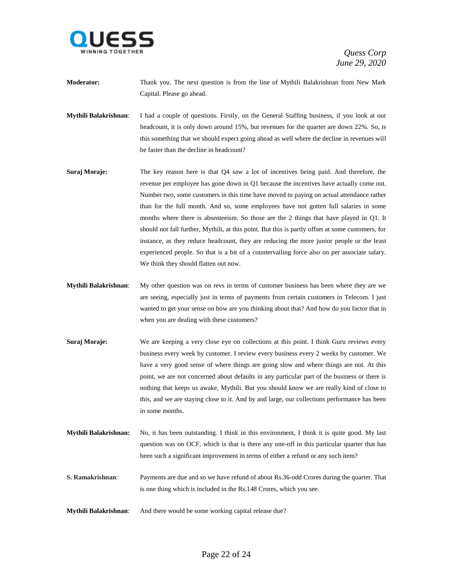

- **Moderator:** Thank you. The next question is from the line of Mythili Balakrishnan from New Mark Capital. Please go ahead.
- **Mythili Balakrishnan**: I had a couple of questions. Firstly, on the General Staffing business, if you look at our headcount, it is only down around 15%, but revenues for the quarter are down 22%. So, is this something that we should expect going ahead as well where the decline in revenues will be faster than the decline in headcount?
- **Suraj Moraje:** The key reason here is that Q4 saw a lot of incentives being paid. And therefore, the revenue per employee has gone down in Q1 because the incentives have actually come out. Number two, some customers in this time have moved to paying on actual attendance rather than for the full month. And so, some employees have not gotten full salaries in some months where there is absenteeism. So those are the 2 things that have played in Q1. It should not fall further, Mythili, at this point. But this is partly offset at some customers, for instance, as they reduce headcount, they are reducing the more junior people or the least experienced people. So that is a bit of a countervailing force also on per associate salary. We think they should flatten out now.
- **Mythili Balakrishnan**: My other question was on revs in terms of customer business has been where they are we are seeing, especially just in terms of payments from certain customers in Telecom. I just wanted to get your sense on how are you thinking about that? And how do you factor that in when you are dealing with these customers?
- **Suraj Moraje:** We are keeping a very close eye on collections at this point. I think Guru reviews every business every week by customer. I review every business every 2 weeks by customer. We have a very good sense of where things are going slow and where things are not. At this point, we are not concerned about defaults in any particular part of the business or there is nothing that keeps us awake, Mythili. But you should know we are really kind of close to this, and we are staying close to it. And by and large, our collections performance has been in some months.
- **Mythili Balakrishnan:** No, it has been outstanding. I think in this environment, I think it is quite good. My last question was on OCF, which is that is there any one-off in this particular quarter that has been such a significant improvement in terms of either a refund or any such item?
- **S. Ramakrishnan**: Payments are due and so we have refund of about Rs.36-odd Crores during the quarter. That is one thing which is included in the Rs.148 Crores, which you see.
- **Mythili Balakrishnan**: And there would be some working capital release due?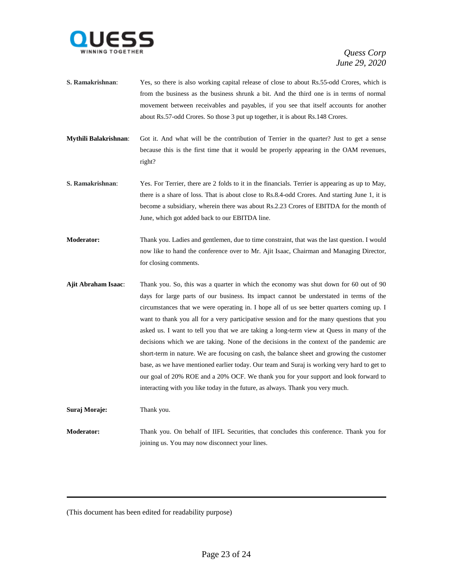

- **S. Ramakrishnan**: Yes, so there is also working capital release of close to about Rs.55-odd Crores, which is from the business as the business shrunk a bit. And the third one is in terms of normal movement between receivables and payables, if you see that itself accounts for another about Rs.57-odd Crores. So those 3 put up together, it is about Rs.148 Crores.
- **Mythili Balakrishnan**: Got it. And what will be the contribution of Terrier in the quarter? Just to get a sense because this is the first time that it would be properly appearing in the OAM revenues, right?
- **S. Ramakrishnan**: Yes. For Terrier, there are 2 folds to it in the financials. Terrier is appearing as up to May, there is a share of loss. That is about close to Rs.8.4-odd Crores. And starting June 1, it is become a subsidiary, wherein there was about Rs.2.23 Crores of EBITDA for the month of June, which got added back to our EBITDA line.
- **Moderator:** Thank you. Ladies and gentlemen, due to time constraint, that was the last question. I would now like to hand the conference over to Mr. Ajit Isaac, Chairman and Managing Director, for closing comments.
- **Ajit Abraham Isaac**: Thank you. So, this was a quarter in which the economy was shut down for 60 out of 90 days for large parts of our business. Its impact cannot be understated in terms of the circumstances that we were operating in. I hope all of us see better quarters coming up. I want to thank you all for a very participative session and for the many questions that you asked us. I want to tell you that we are taking a long-term view at Quess in many of the decisions which we are taking. None of the decisions in the context of the pandemic are short-term in nature. We are focusing on cash, the balance sheet and growing the customer base, as we have mentioned earlier today. Our team and Suraj is working very hard to get to our goal of 20% ROE and a 20% OCF. We thank you for your support and look forward to interacting with you like today in the future, as always. Thank you very much.

**Suraj Moraje:** Thank you.

**Moderator:** Thank you. On behalf of IIFL Securities, that concludes this conference. Thank you for joining us. You may now disconnect your lines.

(This document has been edited for readability purpose)